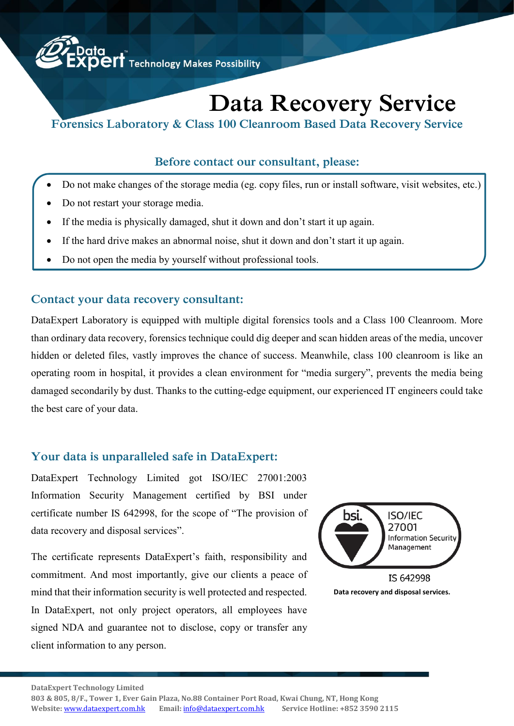

# **Data Recovery Service**

**Forensics Laboratory & Class 100 Cleanroom Based Data Recovery Service**

#### **Before contact our consultant, please:**

- Do not make changes of the storage media (eg. copy files, run or install software, visit websites, etc.)
- Do not restart your storage media.
- If the media is physically damaged, shut it down and don't start it up again.
- If the hard drive makes an abnormal noise, shut it down and don't start it up again.
- Do not open the media by yourself without professional tools.

#### **Contact your data recovery consultant:**

DataExpert Laboratory is equipped with multiple digital forensics tools and a Class 100 Cleanroom. More than ordinary data recovery, forensics technique could dig deeper and scan hidden areas of the media, uncover hidden or deleted files, vastly improves the chance of success. Meanwhile, class 100 cleanroom is like an operating room in hospital, it provides a clean environment for "media surgery", prevents the media being damaged secondarily by dust. Thanks to the cutting-edge equipment, our experienced IT engineers could take the best care of your data.

#### **Your data is unparalleled safe in DataExpert:**

DataExpert Technology Limited got ISO/IEC 27001:2003 Information Security Management certified by BSI under certificate number IS 642998, for the scope of "The provision of data recovery and disposal services".

The certificate represents DataExpert's faith, responsibility and commitment. And most importantly, give our clients a peace of mind that their information security is well protected and respected. In DataExpert, not only project operators, all employees have signed NDA and guarantee not to disclose, copy or transfer any client information to any person.



**DataExpert Technology Limited** 

**803 & 805, 8/F., Tower 1, Ever Gain Plaza, No.88 Container Port Road, Kwai Chung, NT, Hong Kong Website:** <www.dataexpert.com.hk> **Email:** [info@dataexpert.com.hk](mailto:info@dataexpert.com.hk) **Service Hotline: +852 3590 2115**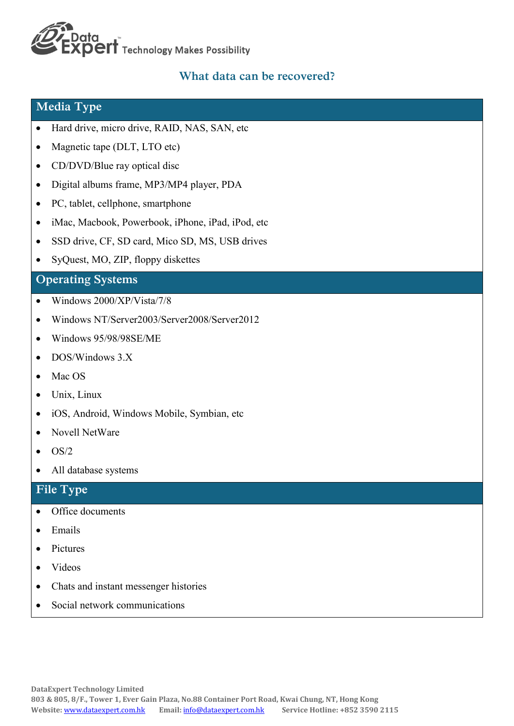# **LData<br>EXPEIT** Technology Makes Possibility

### **What data can be recovered?**

#### **Media Type**

- Hard drive, micro drive, RAID, NAS, SAN, etc
- Magnetic tape (DLT, LTO etc)
- CD/DVD/Blue ray optical disc
- Digital albums frame, MP3/MP4 player, PDA
- PC, tablet, cellphone, smartphone
- iMac, Macbook, Powerbook, iPhone, iPad, iPod, etc
- SSD drive, CF, SD card, Mico SD, MS, USB drives
- SyQuest, MO, ZIP, floppy diskettes

#### **Operating Systems**

- Windows 2000/XP/Vista/7/8
- Windows NT/Server2003/Server2008/Server2012
- Windows 95/98/98SE/ME
- DOS/Windows 3.X
- Mac OS
- Unix, Linux
- iOS, Android, Windows Mobile, Symbian, etc
- Novell NetWare
- $\bullet$  OS/2
- All database systems

#### **File Type**

- Office documents
- Emails
- Pictures
- Videos
- Chats and instant messenger histories
- Social network communications